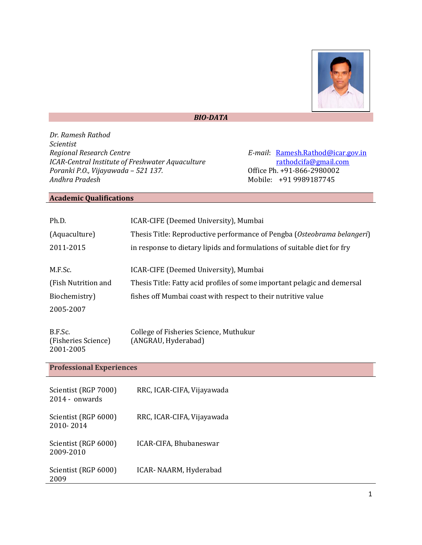

#### *BIO-DATA*

*Dr. Ramesh Rathod Scientist ICAR-Central Institute of Freshwater Aquaculture [rathodcifa@gmail.com](mailto:rathodcifa@gmail.com) Poranki P.O., Vijayawada - 521 137. Poranki P.O., Vijayawada - 521 137. Poranki P.O., Vijayawada - 521 137. Poranki P.O., Vijayawada - 521 137.*<br>*Andhra Pradesh* 

*E-mail*: <u>[Ramesh.Rathod@icar.gov.in](mailto:Ramesh.Rathod@icar.gov.in)</u><br>rathodcifa@gmail.com *Andhra Pradesh* Mobile: +91 9989187745

### **Academic Qualifications**

| Ph.D.                                       | ICAR-CIFE (Deemed University), Mumbai                                    |  |
|---------------------------------------------|--------------------------------------------------------------------------|--|
| (Aquaculture)                               | Thesis Title: Reproductive performance of Pengba (Osteobrama belangeri)  |  |
| 2011-2015                                   | in response to dietary lipids and formulations of suitable diet for fry  |  |
| M.F.Sc.                                     | ICAR-CIFE (Deemed University), Mumbai                                    |  |
| (Fish Nutrition and                         | Thesis Title: Fatty acid profiles of some important pelagic and demersal |  |
| Biochemistry)                               | fishes off Mumbai coast with respect to their nutritive value            |  |
| 2005-2007                                   |                                                                          |  |
| B.F.Sc.<br>(Fisheries Science)<br>2001-2005 | College of Fisheries Science, Muthukur<br>(ANGRAU, Hyderabad)            |  |
| <b>Professional Experiences</b>             |                                                                          |  |
| Scientist (RGP 7000)<br>2014 - onwards      | RRC, ICAR-CIFA, Vijayawada                                               |  |
| Scientist (RGP 6000)<br>2010-2014           | RRC, ICAR-CIFA, Vijayawada                                               |  |
| Scientist (RGP 6000)<br>2009-2010           | ICAR-CIFA, Bhubaneswar                                                   |  |
| Scientist (RGP 6000)<br>2009                | ICAR- NAARM, Hyderabad                                                   |  |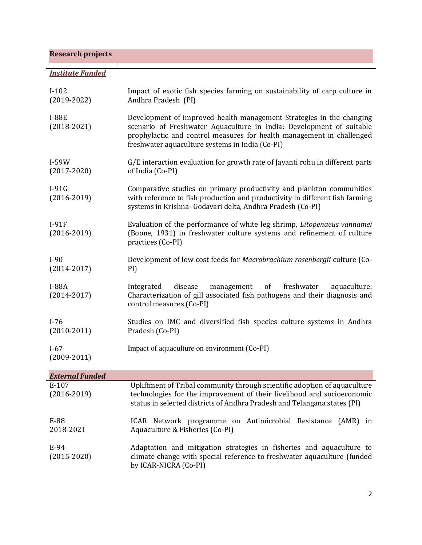# **Research projects**

# *Institute Funded*

| $I-102$<br>$(2019-2022)$   | Impact of exotic fish species farming on sustainability of carp culture in<br>Andhra Pradesh (PI)                                                                                                                                                                        |
|----------------------------|--------------------------------------------------------------------------------------------------------------------------------------------------------------------------------------------------------------------------------------------------------------------------|
| $I-88E$<br>$(2018-2021)$   | Development of improved health management Strategies in the changing<br>scenario of Freshwater Aquaculture in India: Development of suitable<br>prophylactic and control measures for health management in challenged<br>freshwater aquaculture systems in India (Co-PI) |
| $I-59W$<br>$(2017 - 2020)$ | G/E interaction evaluation for growth rate of Jayanti rohu in different parts<br>of India (Co-PI)                                                                                                                                                                        |
| $I-91G$<br>$(2016 - 2019)$ | Comparative studies on primary productivity and plankton communities<br>with reference to fish production and productivity in different fish farming<br>systems in Krishna- Godavari delta, Andhra Pradesh (Co-PI)                                                       |
| $I-91F$<br>$(2016 - 2019)$ | Evaluation of the performance of white leg shrimp, Litopenaeus vannamei<br>(Boone, 1931) in freshwater culture systems and refinement of culture<br>practices (Co-PI)                                                                                                    |
| $I-90$<br>$(2014 - 2017)$  | Development of low cost feeds for Macrobrachium rosenbergii culture (Co-<br>PI)                                                                                                                                                                                          |
| $I-88A$<br>$(2014 - 2017)$ | freshwater<br>Integrated<br>disease<br>management<br>of<br>aquaculture:<br>Characterization of gill associated fish pathogens and their diagnosis and<br>control measures (Co-PI)                                                                                        |
| $I-76$<br>$(2010-2011)$    | Studies on IMC and diversified fish species culture systems in Andhra<br>Pradesh (Co-PI)                                                                                                                                                                                 |
| $I-67$<br>$(2009 - 2011)$  | Impact of aquaculture on environment (Co-PI)                                                                                                                                                                                                                             |
| <b>External Funded</b>     |                                                                                                                                                                                                                                                                          |
| E-107<br>$(2016 - 2019)$   | Upliftment of Tribal community through scientific adoption of aquaculture<br>technologies for the improvement of their livelihood and socioeconomic<br>status in selected districts of Andhra Pradesh and Telangana states (PI)                                          |
| E-88<br>2018-2021          | ICAR Network programme on Antimicrobial Resistance (AMR) in<br>Aquaculture & Fisheries (Co-PI)                                                                                                                                                                           |
| E-94<br>$(2015 - 2020)$    | Adaptation and mitigation strategies in fisheries and aquaculture to<br>climate change with special reference to freshwater aquaculture (funded<br>by ICAR-NICRA (Co-PI)                                                                                                 |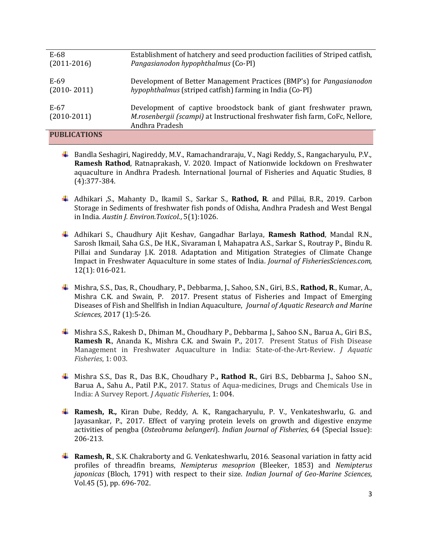| $E-68$              | Establishment of hatchery and seed production facilities of Striped catfish, |
|---------------------|------------------------------------------------------------------------------|
| $(2011-2016)$       | Pangasianodon hypophthalmus (Co-PI)                                          |
|                     |                                                                              |
| E-69                | Development of Better Management Practices (BMP's) for Pangasianodon         |
| $(2010 - 2011)$     | hypophthalmus (striped catfish) farming in India (Co-PI)                     |
|                     |                                                                              |
| E-67                | Development of captive broodstock bank of giant freshwater prawn,            |
| $(2010-2011)$       | M.rosenbergii (scampi) at Instructional freshwater fish farm, CoFc, Nellore, |
|                     | Andhra Pradesh                                                               |
| <b>PUBLICATIONS</b> |                                                                              |

- Bandla Seshagiri, Nagireddy, M.V., Ramachandraraju, V., Nagi Reddy, S., Rangacharyulu, P.V., **Ramesh Rathod**, Ratnaprakash, V. 2020. Impact of Nationwide lockdown on Freshwater aquaculture in Andhra Pradesh. International Journal of Fisheries and Aquatic Studies, 8 (4):377-384.
- Adhikari ,S., Mahanty D., Ikamil S., Sarkar S., **Rathod, R**. and Pillai, B.R., 2019. Carbon Storage in Sediments of freshwater fish ponds of Odisha, Andhra Pradesh and West Bengal in India. *Austin J. Environ.Toxicol.*, 5(1):1026.
- Adhikari S., Chaudhury Ajit Keshav, Gangadhar Barlaya, **Ramesh Rathod**, Mandal R.N., Sarosh Ikmail, Saha G.S., De H.K., Sivaraman I, Mahapatra A.S., Sarkar S., Routray P., Bindu R. Pillai and Sundaray J.K. 2018. Adaptation and Mitigation Strategies of Climate Change Impact in Freshwater Aquaculture in some states of India. *Journal of FisheriesSciences.com,* 12(1): 016-021.
- Mishra, S.S., Das, R., Choudhary, P., Debbarma, J., Sahoo, S.N., Giri, B.S., **Rathod, R**., Kumar, A., Mishra C.K. and Swain, P. 2017. Present status of Fisheries and Impact of Emerging Diseases of Fish and Shellfish in Indian Aquaculture, *Journal of Aquatic Research and Marine Sciences,* 2017 (1):5-26.
- Mishra S.S., Rakesh D., Dhiman M., Choudhary P., Debbarma J., Sahoo S.N., Barua A., Giri B.S., **Ramesh R**., Ananda K., Mishra C.K. and Swain P., 2017. Present Status of Fish Disease Management in Freshwater Aquaculture in India: State-of-the-Art-Review. *J Aquatic Fisheries*, 1: 003.
- Mishra S.S., Das R., Das B.K., Choudhary P.**, Rathod R.**, Giri B.S., Debbarma J., Sahoo S.N., Barua A., Sahu A., Patil P.K., 2017. Status of Aqua-medicines, Drugs and Chemicals Use in India: A Survey Report. *J Aquatic Fisheries*, 1: 004.
- **Ramesh, R.,** Kiran Dube, Reddy, A. K., Rangacharyulu, P. V., Venkateshwarlu, G. and Jayasankar, P., 2017. Effect of varying protein levels on growth and digestive enzyme activities of pengba (*Osteobrama belangeri*). *Indian Journal of Fisheries*, 64 (Special Issue): 206-213.
- **Ramesh, R.**, S.K. Chakraborty and G. Venkateshwarlu, 2016. Seasonal variation in fatty acid profiles of threadfin breams, *Nemipterus mesoprion* (Bleeker, 1853) and *Nemipterus japonicas* (Bloch, 1791) with respect to their size. *Indian Journal of Geo-Marine Sciences*, Vol.45 (5), pp. 696-702.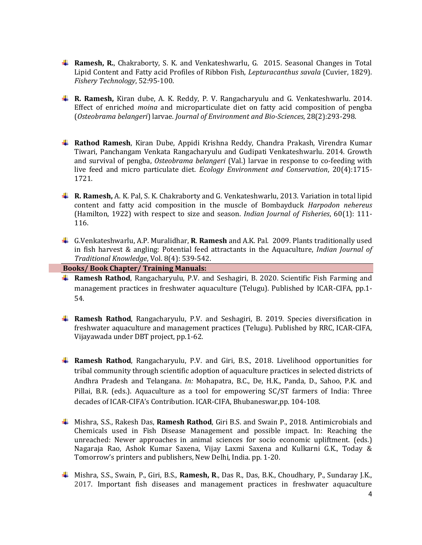- **Ramesh, R.**, Chakraborty, S. K. and Venkateshwarlu, G. 2015. Seasonal Changes in Total Lipid Content and Fatty acid Profiles of Ribbon Fish, *Lepturacanthus savala* (Cuvier, 1829). *Fishery Technology*, 52:95-100.
- **R. Ramesh,** Kiran dube, A. K. Reddy, P. V. Rangacharyulu and G. Venkateshwarlu. 2014. Effect of enriched *moina* and microparticulate diet on fatty acid composition of pengba (*Osteobrama belangeri*) larvae. *Journal of Environment and Bio-Sciences*, 28(2):293-298.
- **Rathod Ramesh**, Kiran Dube, Appidi Krishna Reddy, Chandra Prakash, Virendra Kumar Tiwari, Panchangam Venkata Rangacharyulu and Gudipati Venkateshwarlu. 2014. Growth and survival of pengba, *Osteobrama belangeri* (Val.) larvae in response to co-feeding with live feed and micro particulate diet. *Ecology Environment and Conservation*, 20(4):1715- 1721.
- **R. Ramesh,** A. K. Pal, S. K. Chakraborty and G. Venkateshwarlu, 2013. Variation in total lipid content and fatty acid composition in the muscle of Bombayduck *Harpodon nehereus*  (Hamilton, 1922) with respect to size and season. *Indian Journal of Fisheries*, 60(1): 111- 116.
- G.Venkateshwarlu, A.P. Muralidhar, **R**. **Ramesh** and A.K. Pal. 2009. Plants traditionally used in fish harvest & angling: Potential feed attractants in the Aquaculture, *Indian Journal of Traditional Knowledge*, Vol. 8(4): 539-542.

 **Books/ Book Chapter/ Training Manuals:** 

- **Ramesh Rathod**, Rangacharyulu, P.V. and Seshagiri, B. 2020. Scientific Fish Farming and management practices in freshwater aquaculture (Telugu). Published by ICAR-CIFA, pp.1- 54.
- **Ramesh Rathod**, Rangacharyulu, P.V. and Seshagiri, B. 2019. Species diversification in freshwater aquaculture and management practices (Telugu). Published by RRC, ICAR-CIFA, Vijayawada under DBT project, pp.1-62.
- **Ramesh Rathod**, Rangacharyulu, P.V. and Giri, B.S., 2018. Livelihood opportunities for tribal community through scientific adoption of aquaculture practices in selected districts of Andhra Pradesh and Telangana. *In:* Mohapatra, B.C., De, H.K., Panda, D., Sahoo, P.K. and Pillai, B.R. (eds.). Aquaculture as a tool for empowering SC/ST farmers of India: Three decades of ICAR-CIFA's Contribution. ICAR-CIFA, Bhubaneswar,pp. 104-108.
- Mishra, S.S., Rakesh Das, **Ramesh Rathod**, Giri B.S. and Swain P., 2018. Antimicrobials and Chemicals used in Fish Disease Management and possible impact. In: Reaching the unreached: Newer approaches in animal sciences for socio economic upliftment. (eds.) Nagaraja Rao, Ashok Kumar Saxena, Vijay Laxmi Saxena and Kulkarni G.K., Today & Tomorrow's printers and publishers, New Delhi, India. pp. 1-20.
- Mishra, S.S., Swain, P., Giri, B.S., **Ramesh, R**., Das R., Das, B.K., Choudhary, P., Sundaray J.K., 2017. Important fish diseases and management practices in freshwater aquaculture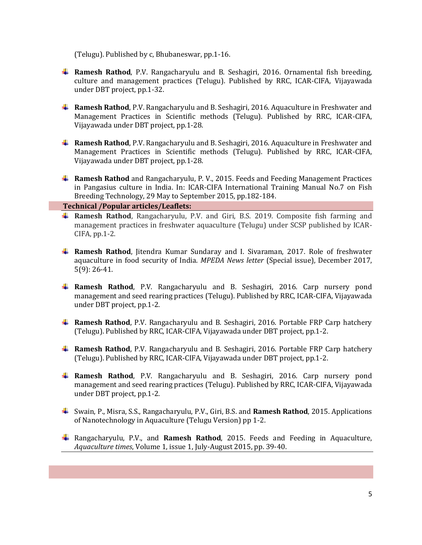(Telugu). Published by c, Bhubaneswar, pp.1-16.

- **Ramesh Rathod**, P.V. Rangacharyulu and B. Seshagiri, 2016. Ornamental fish breeding, culture and management practices (Telugu). Published by RRC, ICAR-CIFA, Vijayawada under DBT project, pp.1-32.
- **Ramesh Rathod**, P.V. Rangacharyulu and B. Seshagiri, 2016. Aquaculture in Freshwater and Management Practices in Scientific methods (Telugu). Published by RRC, ICAR-CIFA, Vijayawada under DBT project, pp.1-28.
- **Ramesh Rathod**, P.V. Rangacharyulu and B. Seshagiri, 2016. Aquaculture in Freshwater and Management Practices in Scientific methods (Telugu). Published by RRC, ICAR-CIFA, Vijayawada under DBT project, pp.1-28.
- **Ramesh Rathod** and Rangacharyulu, P. V., 2015. Feeds and Feeding Management Practices in Pangasius culture in India. In: ICAR-CIFA International Training Manual No.7 on Fish Breeding Technology, 29 May to September 2015, pp.182-184.

 **Technical /Popular articles/Leaflets:** 

- **Ramesh Rathod**, Rangacharyulu, P.V. and Giri, B.S. 2019. Composite fish farming and management practices in freshwater aquaculture (Telugu) under SCSP published by ICAR-CIFA, pp.1-2.
- **Ramesh Rathod**, Jitendra Kumar Sundaray and I. Sivaraman, 2017. Role of freshwater aquaculture in food security of India. *MPEDA News letter* (Special issue), December 2017, 5(9): 26-41.
- **Ramesh Rathod**, P.V. Rangacharyulu and B. Seshagiri, 2016. Carp nursery pond management and seed rearing practices (Telugu). Published by RRC, ICAR-CIFA, Vijayawada under DBT project, pp.1-2.
- **Ramesh Rathod**, P.V. Rangacharyulu and B. Seshagiri, 2016. Portable FRP Carp hatchery (Telugu). Published by RRC, ICAR-CIFA, Vijayawada under DBT project, pp.1-2.
- **Ramesh Rathod**, P.V. Rangacharyulu and B. Seshagiri, 2016. Portable FRP Carp hatchery (Telugu). Published by RRC, ICAR-CIFA, Vijayawada under DBT project, pp.1-2.
- **Ramesh Rathod**, P.V. Rangacharyulu and B. Seshagiri, 2016. Carp nursery pond management and seed rearing practices (Telugu). Published by RRC, ICAR-CIFA, Vijayawada under DBT project, pp.1-2.
- Swain, P., Misra, S.S., Rangacharyulu, P.V., Giri, B.S. and **Ramesh Rathod**, 2015. Applications of Nanotechnology in Aquaculture (Telugu Version) pp 1-2.
- Rangacharyulu, P.V., and **Ramesh Rathod**, 2015. Feeds and Feeding in Aquaculture, *Aquaculture times*, Volume 1, issue 1, July-August 2015, pp. 39-40.